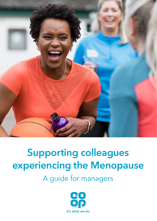

# Supporting colleagues experiencing the Menopause

A guide for managers

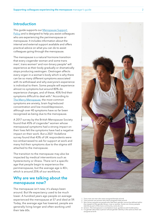#### Introduction

This guide supports our [Menopause Support](https://colleagues.coop.co.uk/co-op-menopause-support-policy)  [Policy](https://colleagues.coop.co.uk/co-op-menopause-support-policy) and is designed to help you assist colleagues who are experiencing the perimenopause or menopause. It includes information about the internal and external support available and offers practical advice on what you can do to assist colleagues going through the menopause.

The menopause is a natural hormone transition that every cisgender woman and some trans men<sup>1</sup>, trans women<sup>2</sup> and non-binary people<sup>3</sup> will experience as their body gradually or dramatically stops producing oestrogen. Oestrogen affects every organ in a woman's body which is why there can be so many different symptoms associated with its withdrawal and why everyone's experience is individual to them. Some people will experience almost no symptoms but around 80% do experience changes, and of these, 45% find their symptoms difficult to deal with.<sup>4</sup> According to [The Merry Menopause,](https://www.themerrymenopause.com/) the most common symptoms are anxiety, brain fog/reduced concentration and low mood/depression, although over 40 symptoms have so far been recognised as being due to the menopause.

A 2017 survey by the British Menopause Society found that 45% of cisgender<sup>5</sup> women whose menopausal symptoms had a strong impact on their lives felt the symptoms have had a negative impact on their work. But a 2021 Vodafone survey found that 43% of UK respondents were too embarrassed to ask for support at work and many hid their symptoms due to the stigma still attached to the menopause.

The transition to the menopause may also be impacted by medical interventions such as hysterectomy or illness. There isn't a specific age that people begin to experience the perimenopause, but the average age is 40+, which is around 25% of our workforce.

## Why are we talking about the menopause now?

The menopause isn't new; it's always been around. But life expectancy used to be much lower. A hundred years ago people on average experienced the menopause at 57 and died at 59. Today, the average age has lowered, people are generally living longer and often working until their late 60s.



- Trans men are men who were assigned female at birth
- Trans women are women who were assigned male at birth 3 Non-binary people are people who feel their gender cannot be defined within the margins of the gender binary: man or woman. Some non-binary people
- identify as part of the trans community, some do not.<br>4 Unison, The menopause is a workplace issue: guidance and model policy<br>5 Cis qender describes a person whose qender identity is the same as their sex assigned at birth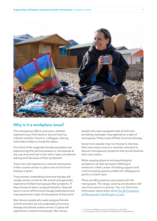

#### Why is it a workplace issue?

The menopause affects everyone, whether experiencing it first-hand or second hand as a family member, friend or colleague, sharing information helps to break the taboo.

One third of the cisgender female population are experiencing the perimenopause or menopause at any one time and one in four will or have considered leaving work because of their symptoms<sup>6</sup>.

Trans men will experience a natural menopause if their ovaries remain in place and no hormone therapy is given.

Trans women undertaking hormone therapy will usually remain on this for life and should generally experience limited menopausal-like symptoms. If they choose to have a surgical transition, they will have to come off hormone therapy beforehand and may experience a type of menopause at that point.<sup>7</sup>

Non-binary people who were assigned female at birth and who are not undertaking hormone therapy and whose ovaries remain in place will experience a natural menopause. Non-binary

people who were assigned male at birth and are taking oestrogen may experience a type of menopause if they come off their hormone therapy.

Some trans people may not choose to disclose their trans status and as a result be reluctant to discuss menopausal symptoms that would disclose their trans status.

Wide-ranging physical and psychological symptoms can feel seriously inhibiting to someone in their career. Providing support and communicating openly enables all colleagues to perform at their best.

There are 48 symptoms associated with the menopause. The range, severity and duration will vary from person to person. You can find more information about them all at [The 48 Symptoms](https://gen-m.com/symptoms/48-symptoms/) [of Menopause | GenM \(gen-m.com\)](https://gen-m.com/symptoms/48-symptoms/)

<sup>6</sup> Civil Service HR Menopause at work Employees Sept 2019 7 Do Transgender Women Experience Menopause? - HealthyWomen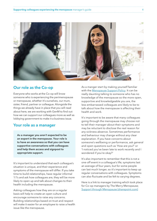

#### Our role as the Co-op

Everyone who works at the Co-op will know someone who is experiencing the perimenopause or menopause, whether it's ourselves, our mum, sister, friend, partner or colleague. Alongside the things we already have in place that you will read about here, we are working with GenM to find out how we can support our colleagues more as well as lobbying government to make it a business issue.

## Your role as a manager

As a manager you aren't expected to be an expert in the menopause. Your role is to have an awareness so that you can have supportive conversations with colleagues and help them access and signpost to appropriate support.

It's important to understand that each colleague's situation is unique, and their experience and symptoms of the menopause will differ. If you take time to build relationships, have regular informal 1:1's and ask how colleagues are, they will be more likely to open up and talk about changes to their health including the menopause.

Asking colleagues how they are on a regular basis will help to create an open culture and encourage someone to raise any concerns. Building relationships based on trust and respect will make it easier for an employee to raise a health issue like the menopause.

As a manger start by making yourself familiar with the [Menopause Support Policy.](https://assets.ctfassets.net/5ywmq66472jr/6pX7Iu76dYVR2Ft5F8MJay/ee266b545b84bd262b892e55025ecc89/FINAL_ARA_2020_in_full_110521.pdf) It can be really daunting talking to someone who has no knowledge of the menopause so the more open, supportive and knowledgeable you are, the less embarrassed colleagues are likely to be to talk about how the menopause is affecting their health and work.

It's important to be aware that many colleagues going through the menopause may choose not to tell their manager about their symptoms and may be reluctant to disclose the real reason for any sickness absence. Sometimes performance and behaviour may change without any clear explanation. If you have concerns about someone's wellbeing or performance, ask general and open questions such as 'How are you?' or 'I noticed you've been late to work recently and I wondered if you're okay?'

It's also important to remember that this is not a one-off event in a colleague's life; symptoms last an average of four years, but for some people can last much longer, so it's important to keep up regular conversations with colleagues. Symptoms can also fluctuate and be felt to varying degrees.

Here is a link to manager training which took place for Co-op managers by The Merry Menopause; [Support through Menopause \(sharepoint.com\)](https://cooponline.sharepoint.com/sites/WellbeingHub/SitePages/Support-through-Menopause.aspx?OR=Teams-HL&CT=1642595860121&sourceId=¶ms=%7B%22AppName%22%3A%22Teams-Desktop%22%2C%22AppVersion%22%3A%2227%2F21110108720%22%7D)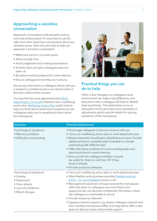## Approaching a sensitive conversation

Approach conversations with empathy and try not to be embarrassed. It's important to set the right tone when opening a conversation about any sensitive issues. Here are some tips to help you approach a sensitive conversation:

- Make sure you're in a private space
- Allow enough time
- Avoid judgement and making assumptions
- Actively listen and give colleagues space to open up
- Be patient and be prepared for some silences
- Ensure colleagues know they can trust you

Ensure any information a colleague shares with you is treated in confidence and is not shared wider in the team without their consent.

You may find the work adjustment plan Work [Adjustments\\_Form.pdf](https://assets.ctfassets.net/3pdnpf64gjpg/5kcBQE1UTjtC52M1gyuww1/da48225b2be2e3239988fb5ef64b0526/Work_Adjustments_Form.pdf) (ctfassets.net) or wellbeing action plan [Wellbeing-Action-Plan](https://assets.ctfassets.net/3pdnpf64gjpg/4msNK665hawaoghg0xYSnS/edcd3c3f00733cf01fea2ebf3ac0dc26/Wellbeing_Action_Plan_-_Menopause_-Feb_2022_FINAL_.pdf) useful tools to help you think about what kind of questions to ask colleagues when you're speaking to them about the menopause.



# Practical things you can do to help

Often, a few changes to a colleague's work environment can make a big difference, and discussion with a colleague will help to identify what would help. The table below is not an exhaustive list but provides some examples of adjustments which may be helpful for varying symptoms of the menopause.

| <b>Symptom</b>                                                                                                    | <b>Potential Adjustments</b>                                                                                                                                                                                                                                                                                                                                                                                                                                                                                                                                                                                         |
|-------------------------------------------------------------------------------------------------------------------|----------------------------------------------------------------------------------------------------------------------------------------------------------------------------------------------------------------------------------------------------------------------------------------------------------------------------------------------------------------------------------------------------------------------------------------------------------------------------------------------------------------------------------------------------------------------------------------------------------------------|
| Psychological symptoms:<br>• Memory problems<br>• Difficulty concentrating                                        | • Encourage colleagues to discuss concerns with you<br>• Carry out a wellbeing action plan or work adjustment plan<br>• Reduce demands if workload is identified as an issue. Provide<br>additional time to complete tasks if needed or consider<br>substituting with different tasks<br>• Offer alternative methods of communicating tasks and<br>planning of work to assist memory<br>· Discuss with the colleague whether it would<br>be useful for them to visit their GP if they<br>haven't already<br>• Provide access to Lifeworks                                                                            |
| Psychological symptoms:<br>• Anxiety<br>• Depression<br>• Panic attacks<br>• Loss of confidence<br>• Mood changes | • Carry out a wellbeing action plan or work adjustment plan<br>• Allow flexible working where possible <b>Flexible working</b><br>policy - Co-op Colleagues (coop.co.uk)<br>• Raise general awareness of issues around the menopause<br>within the team so colleagues are more likely to be<br>supportive (do not disclose confidential information unless<br>the colleague is comfortable to do so)<br>• Provide access to Lifeworks<br>· Signpost internal support, e.g, Aspire colleague network and<br>their monthly menopause coffee mornings which offer a safe<br>space to discuss issues and provide support |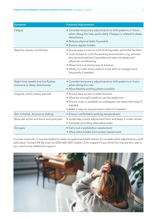| Symptom                                                             | <b>Potential Adjustments</b>                                                                                                                                                                                                                                                                                                                           |
|---------------------------------------------------------------------|--------------------------------------------------------------------------------------------------------------------------------------------------------------------------------------------------------------------------------------------------------------------------------------------------------------------------------------------------------|
| Fatigue                                                             | • Consider temporary adjustments to shift patterns or hours<br>when doing the rota, particularly if fatigue is related to sleep<br>disturbance<br>• Reduce physical tasks if possible<br>• Ensure regular breaks                                                                                                                                       |
| Daytime sweats, hot flushes                                         | • Ensure easy access to cold drinking water and toilet facilities<br>• Look at ways to cool the working environment, e.g, provide<br>fans at workstations if possible and open windows and<br>adjust air conditioning<br>· Allow time out and access to fresh air<br>• Ability to order more uniform to be able to change more<br>frequently if needed |
| Night-time sweats and hot flushes.<br>Insomnia or sleep disturbance | • Consider temporary adjustments to shift patterns or hours<br>when doing the rota<br>· Allow flexible working where possible                                                                                                                                                                                                                          |
| Irregular and/or heavy periods                                      | • Ensure easy access to toilet facilities<br>• Allow for enough breaks to use the bathroom<br>• Ensure cover is available so colleagues can leave their post if<br>needed<br>• Make it easy to request extra uniform if needed                                                                                                                         |
| Skin irritation, dryness or itching                                 | • Ensure comfortable working temperatures                                                                                                                                                                                                                                                                                                              |
| Muscular aches and bone and joint pain                              | • Undertake a work adjustment form and keep it under review<br>• Consider providing alternative tasks                                                                                                                                                                                                                                                  |
| Dry eyes                                                            | • Carry out a workstation assessment<br>• Allow extra breaks from screen-based work                                                                                                                                                                                                                                                                    |

In some instances, it may be helpful to seek occupational health advice to consider what adjustments could add value. Contact ER Services on 0330 606 1001 (option 2) for support if you think this may be the case or you need some additional support.

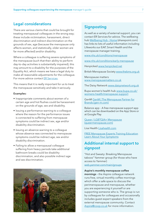# Legal considerations

There are various claims that could be brought for treating menopausal colleagues in the wrong way; these include victimisation, harassment, direct discrimination and indirect discrimination on the grounds of sex, age (because the menopause only affects women, and statistically, older women are far more affected) and/or disability.

Where a colleague is suffering severe symptoms of the menopause (such that their ability to perform day-to-day activities is substantially impaired), this may amount to a disability for the purposes of the Equality Act, which means we have a legal duty to make all reasonable adjustments for the colleague. For more advice contact [ER Services.](https://colleagues.coop.co.uk/contacts)

This means that it is really important for us to treat the menopause sensitively and take it seriously.

#### Examples:

- Inappropriate comments about women of a certain age and hot flushes could be harassment on the grounds of age, sex and disability.
- Issuing a performance warning to a colleague where the reason for the performance issues is connected to suffering from menopause symptoms could be indirect sex, age and/or disability discrimination.
- Issuing an absence warning to a colleague whose absence was connected to menopause symptoms could be indirect age, sex and/or disability discrimination.
- Failing to allow a menopausal colleague suffering from heavy periods take additional bathroom breaks could be disability discrimination, and also possible indirect age and sex discrimination.



## **Signposting**

As well as a variety of external support, you can contact ER Services for advice. The wellbeing hub [Wellbeing Hub - Home \(sharepoint.com\)](https://cooponline.sharepoint.com/sites/WellbeingHub) has links to lots of useful information including Lifeworks our EAP, Smart Health and the menopause manager training.

<www.nhs.uk/conditions/menopause>

<www.nhs.uk/conditions/early-menopause>

Henpicked <www.henpicked.net>

British Menopause Society<www.thebms.org.uk>

Menopause matters <www.menopausematters.co.uk>

The Daisy Network <www.daisynetwork.org.uk>

Bupa women's health hub [www.bupa.co.uk/](www.bupa.co.uk/womens-health/menopause-support) [womens-health/menopause-support](www.bupa.co.uk/womens-health/menopause-support)

GenM [GenM | The Menopause Partner for](https://gen-m.com/) [Brands \(gen-m.com\)](https://gen-m.com/)

Balance app - A free menopause support app which can be downloaded on the App Store or at Google Play

[Queer / LGBTQIA+ Menopause](https://www.queermenopause.com/) [\(queermenopause.com\)](https://www.queermenopause.com/)

Lisa Health<Lisahealth.com>

[FREE Menopause Experts Training Education](https://www.menopauseexpertstraining.com/) [Learn About Your Symptoms](https://www.menopauseexpertstraining.com/)

# Additional internal support to signpost

"Hot and Sweaty: Breaking Menopause taboos" Yammer group (for those who have access to Yammer) [web.yammer.com/main/groups](https://web.yammer.com/main/groups/eyJfdHlwZSI6Ikdyb3VwIiwiaWQiOiIxMzEwNDkyMjYyNCJ9/all)

#### Aspire's monthly menopause coffee

mornings – the Aspire colleague network runs free, virtual monthly coffee mornings which offer a safe space to discuss the perimenopause and menopause, whether you are experiencing it yourself or are supporting someone who is. The group is run by colleagues for colleagues and occasionally includes guest expert speakers from the external menopause community. Contact [Aspire@coop.co.uk](mailto:Aspire%40coop.co.uk?subject=Aspire%E2%80%99s%20monthly%20Menopause%20Coffee%20mornings) for more information.